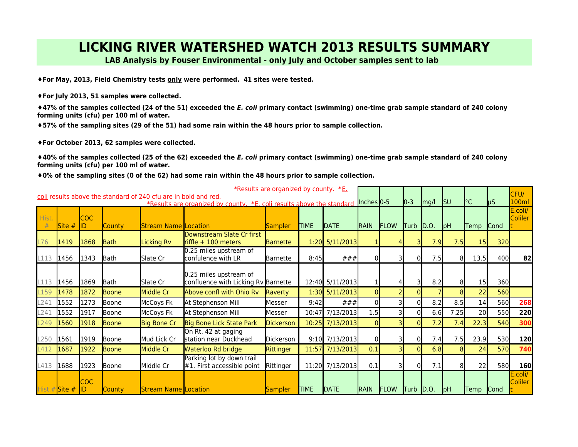## **LICKING RIVER WATERSHED WATCH 2013 RESULTS SUMMARY**

**LAB Analysis by Fouser Environmental - only July and October samples sent to lab** 

**♦For May, 2013, Field Chemistry tests only were performed. 41 sites were tested.** 

**♦For July 2013, 51 samples were collected.** 

**♦47% of the samples collected (24 of the 51) exceeded the E. coli primary contact (swimming) one-time grab sample standard of 240 colony forming units (cfu) per 100 ml of water.**

**♦57% of the sampling sites (29 of the 51) had some rain within the 48 hours prior to sample collection.** 

◆For October 2013, 62 samples were collected.

**♦40% of the samples collected (25 of the 62) exceeded the** *E. coli* **primary contact (swimming) one-time grab sample standard of 240 colony** forming units (cfu) per 100 ml of water.  $\overline{\phantom{a}}$ 

 $*0%$  of the sampling sites (0 of the 62) had some rain within the 48 hours prior to sample collection. are organized by county. \*E. coli results above the standard of 240 cfu are in bold and red.

|        | *Results are organized by county. $E_{\text{L}}$<br>coli results above the standard of 240 cfu are in bold and red. |                  |               |                             |                                                                       |                  |             |                  |                |             |             |              |                 |           |             | CFU/                      |
|--------|---------------------------------------------------------------------------------------------------------------------|------------------|---------------|-----------------------------|-----------------------------------------------------------------------|------------------|-------------|------------------|----------------|-------------|-------------|--------------|-----------------|-----------|-------------|---------------------------|
|        |                                                                                                                     |                  |               |                             | *Results are organized by county. *E, coli results above the standard |                  |             |                  | Inches $0-5$   |             | $ 0-3 $     | mg/l         | $\textsf{I}$ su | $\circ$ C | <b>I</b> µS | 100ml                     |
| Hist.  |                                                                                                                     | <b>COC</b>       |               |                             |                                                                       |                  |             |                  |                |             |             |              |                 |           |             | E.coli/<br><b>Coliler</b> |
|        | Site #                                                                                                              | ID               | <b>County</b> | <b>Stream Name Location</b> |                                                                       | <b>Sampler</b>   | <b>TIME</b> | DATE             | <b>IRAIN</b>   | <b>FLOW</b> | <b>Turb</b> | $\vert$ D.O. | pH              | Temp      | <b>Cond</b> |                           |
| L76    | 1419                                                                                                                | 1868             | <b>Bath</b>   | <b>Licking Rv</b>           | Downstream Slate Cr first<br>$r$ iffle + 100 meters                   | <b>Barnette</b>  |             | 1:20 5/11/2013   |                |             |             | 7.9          | 7.5             | 15        | 320         |                           |
| L113   | 1456                                                                                                                | 1343             | Bath          | Slate Cr                    | 0.25 miles upstream of<br>lconfulence with LR                         | <b>Barnette</b>  | 8:45        | ###              | $\Omega$       |             |             | 7.5          | 81              | 13.5      | 400         | 82                        |
| L113   | 1456                                                                                                                | 1869             | Bath          | Slate Cr                    | 0.25 miles upstream of<br>confluence with Licking Rv Barnette         |                  |             | 12:40 5/11/2013  |                |             |             | 8.2          | 81              | 15        | 360         |                           |
| $-159$ | 1478                                                                                                                | 1872             | Boone         | Middle Cr                   | Above confl with Ohio Rv                                              | Raverty          |             | 1:30 5/11/2013   | $\Omega$       |             |             |              | 8               | 22        | <b>560</b>  |                           |
| L241   | 1552                                                                                                                | 1273             | Boone         | McCoys Fk                   | At Stephenson Mill                                                    | Messer           | 9:42        | ###              | $\Omega$       |             | ΩI          | 8.2          | 8.5             | 14        | 560         | 268                       |
| L241   | 1552                                                                                                                | 1917             | Boone         | McCoys Fk                   | At Stephenson Mill                                                    | Messer           |             | 10:47 7/13/2013  | 1.5            |             | ΩI          | 6.6          | 7.25            | 20        | 550         | 220                       |
| L249   | 1560                                                                                                                | 1918             | Boone         | <b>Big Bone Cr</b>          | Big Bone Lick State Park                                              | <b>Dickerson</b> |             | 10:25 7/13/2013  | $\overline{0}$ |             |             | 7.2          | 7.4             | 22.3      | 540         | 300                       |
| L250   | 1561                                                                                                                | 1919             | Boone         | Mud Lick Cr                 | On Rt. 42 at gaging<br>station near Duckhead                          | Dickerson        |             | $9:10$ 7/13/2013 | $\Omega$       |             |             | 7.4          | 7.5             | 23.9      | 530         | 120                       |
| $-412$ | 1687                                                                                                                | 1922             | Boone         | Middle Cr                   | Waterloo Rd bridge                                                    | Rittinger        |             | 11:57 7/13/2013  | 0.1            |             |             | 6.8          | 81              | 24        | 570         | 740                       |
| L413   | 1688                                                                                                                | 1923             | Boone         | Middle Cr                   | Parking lot by down trail<br>$#1$ . First accessible point            | Rittinger        |             | 11:20 7/13/2013  | 0.1            |             | 01          | 7.1          | -81             | 22        | 580         | <b>160</b>                |
|        | Hist.# Site #                                                                                                       | <b>COC</b><br>ID | <b>County</b> | <b>Stream Name Location</b> |                                                                       | Sampler          | <b>TIME</b> | DATE             | RAIN           | FLOW        | Turb D.O.   |              | pH              | Temp Cond |             | E.coli/<br>Coliler        |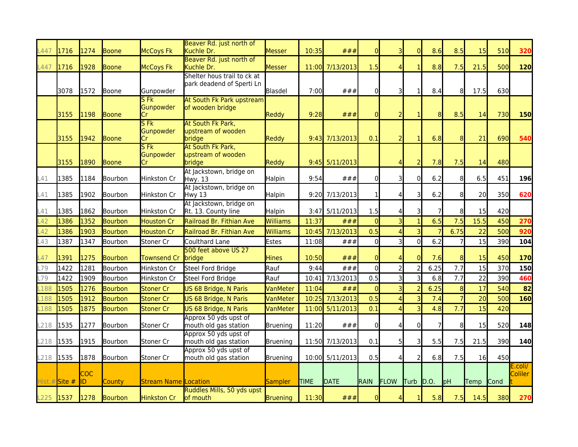| 447       | 1716          | 1274             | <b>Boone</b>   | <b>McCoys Fk</b>                   | Beaver Rd. just north of<br>Kuchle Dr.                   | <b>Messer</b>   | 10:35 | ###              | $\overline{0}$ |                         | $\Omega$                | 8.6            | 8.5            | 15   | 510        | 320                |
|-----------|---------------|------------------|----------------|------------------------------------|----------------------------------------------------------|-----------------|-------|------------------|----------------|-------------------------|-------------------------|----------------|----------------|------|------------|--------------------|
|           |               |                  |                |                                    | Beaver Rd. just north of                                 |                 |       |                  |                |                         |                         |                |                |      |            |                    |
| L447      | 1716          | 1928             | Boone          | <b>McCoys Fk</b>                   | Kuchle Dr.                                               | Messer          |       | 11:00 7/13/2013  | 1.5            |                         |                         | 8.8            | 7.5            | 21.5 | 500        | 120                |
|           | 3078          | 1572             | Boone          | Gunpowder                          | Shelter hous trail to ck at<br>park deadend of Sperti Ln | Blasdel         | 7:00  | ###              | $\Omega$       | 3                       | $\mathbf{1}$            | 8.4            | 8              | 17.5 | 630        |                    |
|           | 3155          | 1198             | Boone          | SFR<br>Gunpowder<br>Cr             | At South Fk Park upstream<br>of wooden bridge            | Reddy           | 9:28  | ###              | $\overline{0}$ | $\overline{2}$          | 1                       | 8              | 8.5            | 14   | 730        | 150                |
|           | 3155          | 1942             | <b>Boone</b>   | S <sub>Fk</sub><br>Gunpowder<br>Cr | At South Fk Park,<br>upstream of wooden<br>bridge        | Reddy           |       | $9:43$ 7/13/2013 | 0.1            |                         |                         | 6.8            | 8              | 21   | 690        | 540                |
|           | 3155          | 1890             | <b>Boone</b>   | <b>SFK</b><br>Gunpowder<br>Cr      | At South Fk Park,<br>upstream of wooden<br>bridge        | Reddy           |       | $9:45$ 5/11/2013 |                |                         | $\overline{2}$          | 7.8            | 7.5            | 14   | 480        |                    |
| L41       | 1385          | 1184             | Bourbon        | Hinkston Cr                        | At Jackstown, bridge on<br>Hwy. 13                       | Halpin          | 9:54  | ###              | $\Omega$       | 3                       | $\overline{0}$          | 6.2            | 8              | 6.5  | 451        | 196                |
| L41       | 1385          | 1902             | Bourbon        | Hinkston Cr                        | At Jackstown, bridge on<br>Hwy 13                        | Halpin          |       | 9:20 7/13/2013   | 1              |                         | 31                      | 6.2            | 8              | 20   | 350        | 620                |
| _41       | 1385          | 1862             | Bourbon        | Hinkston Cr                        | At Jackstown, bridge on<br>Rt. 13. County line           | <b>Halpin</b>   |       | 3:47 5/11/2013   | 1.5            |                         | 31                      | $\overline{7}$ | 8              | 15   | 420        |                    |
| $-42$     | 1386          | 1352             | Bourbon        | <b>Houston Cr</b>                  | Railroad Br. Fithian Ave                                 | Williams        | 11:37 | ###              | $\Omega$       |                         |                         | 6.5            | 7.5            | 15.5 | 450        | 270                |
| $-42$     | 1386          | 1903             | <b>Bourbon</b> | <b>Houston Cr</b>                  | Railroad Br. Fithian Ave                                 | <b>Williams</b> | 10:45 | 7/13/2013        | 0.5            | $\Delta$                | 3                       | $\overline{7}$ | 6.75           | 22   | 500        | 920                |
| L43       | 1387          | 1347             | Bourbon        | Stoner Cr                          | Coulthard Lane                                           | Estes           | 11:08 | ###              | $\Omega$       | $\overline{\mathsf{3}}$ | $\overline{0}$          | 6.2            |                | 15   | 390        | 104                |
| L47       | 1391          | 1275             | <b>Bourbon</b> | Townsend Cr                        | 500 feet above US 27<br>bridge                           | <b>Hines</b>    | 10:50 | ###              | $\overline{0}$ |                         | $\Omega$                | 7.6            | 8              | 15   | 450        | 170                |
| L79       | 1422          | 1281             | Bourbon        | Hinkston Cr                        | Steel Ford Bridge                                        | Rauf            | 9:44  | ###              | $\overline{0}$ | $\overline{2}$          | $\overline{c}$          | 6.25           | 7.7            | 15   | 370        | 150                |
| -79       | 1422          | 1909             | Bourbon        | Hinkston Cr                        | Steel Ford Bridge                                        | Rauf            | 10:41 | 7/13/2013        | 0.5            | 3                       | $\overline{\mathsf{c}}$ | 6.8            | 7.7            | 22   | 390        | 460                |
| 188       | 1505          | 1276             | <b>Bourbon</b> | Stoner Cr                          | US 68 Bridge, N Paris                                    | <b>VanMeter</b> | 11:04 | ###              | $\Omega$       |                         | $\overline{2}$          | 6.25           | 8              | 17   | 540        | 82                 |
| 188       | 1505          | 1912             | <b>Bourbon</b> | Stoner Cr                          | US 68 Bridge, N Paris                                    | VanMeter        | 10:25 | 7/13/2013        | 0.5            |                         | 3                       | 7.4            | $\overline{7}$ | 20   | 500        | 160                |
| L188      | 1505          | 1875             | <b>Bourbon</b> | <b>Stoner Cr</b>                   | US 68 Bridge, N Paris                                    | VanMeter        |       | 11:00 5/11/2013  | 0.1            | $\Lambda$               | R                       | 4.8            | 7.7            | 15   | 420        |                    |
| L218      | 1535          | 1277             | Bourbon        | Stoner Cr                          | Approx 50 yds upst of<br>mouth old gas station           | Bruening        | 11:20 | ###              | $\Omega$       | Δ                       | $\overline{0}$          | $\overline{7}$ | 8              | 15   | 520        | 148                |
| L218      | 1535          | 1915             | Bourbon        | Stoner Cr                          | Approx 50 yds upst of<br>mouth old gas station           | Bruening        |       | 11:50 7/13/2013  | 0.1            | 51                      | 3                       | 5.5            | 7.5            | 21.5 | 390        | 140                |
| L218 1535 |               | 1878             | Bourbon        | Stoner Cr                          | Approx 50 yds upst of<br>mouth old gas station           | Bruening        |       | 10:00 5/11/2013  | 0.5            |                         |                         | 6.8            | 7.5            | 16   | 450        |                    |
|           | Hist.# Site # | <b>COC</b><br>ID | County         | <b>Stream Name Location</b>        |                                                          | Sampler         | TIME  | <b>DATE</b>      | <b>RAIN</b>    | FLOW                    | Turb                    | D.O.           | pH             | Temp | Cond       | E.coli/<br>Coliler |
| L225 1537 |               | 1278             | <b>Bourbon</b> | Hinkston Cr                        | Ruddles Mills, 50 yds upst<br><b>l</b> of mouth          | <b>Bruening</b> | 11:30 | ###              | $\mathbf{0}$   | 41                      | 1                       | 5.8            | 7.5            | 14.5 | <b>380</b> | 270                |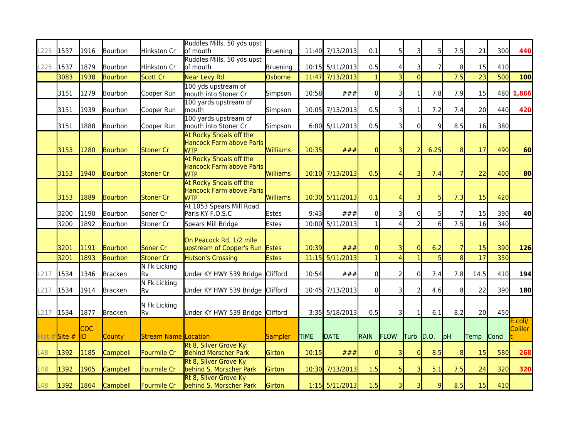| L225      | 1537          | 1916               | Bourbon        | Hinkston Cr                 | Ruddles Mills, 50 yds upst<br>of mouth                            | Bruening     |             | 11:40 7/13/2013  | 0.1            |                | 3                       | 5 <sup>1</sup> | 7.5            | 21   | 300         | 440                |
|-----------|---------------|--------------------|----------------|-----------------------------|-------------------------------------------------------------------|--------------|-------------|------------------|----------------|----------------|-------------------------|----------------|----------------|------|-------------|--------------------|
| L225      | 1537          | 1879               | Bourbon        | Hinkston Cr                 | Ruddles Mills, 50 yds upst<br>of mouth                            | Bruening     |             | 10:15 5/11/2013  | 0.5            |                | 3                       | $\overline{7}$ | 8              | 15   | 410         |                    |
|           | 3083          | 1938               | Bourbon        | Scott Cr                    | Near Levy Rd.                                                     | Osborne      |             | 11:47 7/13/2013  |                |                | $\Omega$                |                | 7.5            | 23   | 500         | 100                |
|           | 3151          | 1279               | Bourbon        | Cooper Run                  | 100 yds upstream of<br>mouth into Stoner Cr                       | Simpson      | 10:58       | ###              | $\Omega$       |                | $\mathbf{1}$            | 7.8            | 7.9            | 15   |             | 480 1,866          |
|           | 3151          | 1939               | Bourbon        | Cooper Run                  | 100 yards upstream of<br>lmouth                                   | Simpson      |             | 10:05 7/13/2013  | 0.5            |                | 1                       | 7.2            | 7.4            | 20   | 440         | 420                |
|           | 3151          | 1888               | Bourbon        | Cooper Run                  | 100 yards upstream of<br>mouth into Stoner Cr                     | Simpson      |             | 6:00 5/11/2013   | 0.5            | 31             | $\overline{0}$          | $\overline{9}$ | 8.5            | 16   | 380         |                    |
|           | 3153          | 1280               | Bourbon        | Stoner Cr                   | At Rocky Shoals off the<br>Hancock Farm above Paris<br><b>WTP</b> | Williams     | 10:35       | ###              | $\mathbf{0}$   | 31             | $\overline{2}$          | 6.25           | 81             | 17   | 490         | 60                 |
|           | 3153          | 1940               | Bourbon        | <b>Stoner Cr</b>            | At Rocky Shoals off the<br>Hancock Farm above Paris<br><b>WTP</b> | Williams     |             | 10:10 7/13/2013  | 0.5            | $\mathbf{A}$   | $\overline{\mathsf{B}}$ | 7.4            |                | 22   | 400         | 80                 |
|           | 3153          | 1889               | Bourbon        | <b>Stoner Cr</b>            | At Rocky Shoals off the<br>Hancock Farm above Paris<br><b>WTP</b> | Williams     |             | 10:30 5/11/2013  | 0.1            |                | $\overline{\mathbf{3}}$ | 5 <sub>l</sub> | 7.3            | 15   | 420         |                    |
|           | 3200          | 1190               | Bourbon        | Soner Cr                    | At 1053 Spears Mill Road,<br>Paris KY F.O.S.C                     | Estes        | 9:43        | ###              | ΩI             |                | 01                      | 5 <sup>1</sup> |                | 15   | 390         | 40                 |
|           | 3200          | 1892               | Bourbon        | Stoner Cr                   | Spears Mill Bridge                                                | Estes        |             | 10:00 5/11/2013  |                | $\Lambda$      | $\overline{2}$          | 6              | 7.5            | 16   | 340         |                    |
|           | 3201          | 1191               | Bourbon        | Soner Cr                    | On Peacock Rd, 1/2 mile<br>upstream of Copper's Run               | <b>Estes</b> | 10:39       | ###              | $\overline{0}$ |                | $\Omega$                | 6.2            |                | 15   | 390         | 126                |
|           | 3201          | 1893               | Bourbon        | <b>Stoner Cr</b>            | <b>Hutson's Crossing</b>                                          | <b>Estes</b> |             | 11:15 5/11/2013  |                |                |                         | $\overline{5}$ | 8              | 17   | 350         |                    |
| L217      | 1534          | 1346               | <b>Bracken</b> | <b>N Fk Licking</b><br>lRv  | Under KY HWY 539 Bridge Clifford                                  |              | 10:54       | ###              | $\Omega$       | $\overline{2}$ | $\overline{0}$          | 7.4            | 7.8            | 14.5 | 410         | 194                |
| L217      | 1534          | 1914               | <b>Bracken</b> | <b>N Fk Licking</b><br>Rv   | Under KY HWY 539 Bridge Clifford                                  |              |             | 10:45 7/13/2013  | 0l             | 31             | $\overline{2}$          | 4.6            | 8 <sup>1</sup> | 22   | 390         | 180                |
| L217 1534 |               | 1877               | Bracken        | N Fk Licking<br>lRv         | Under KY HWY 539 Bridge Clifford                                  |              |             | 3:35 5/18/2013   | 0.5            |                | 1                       | 6.1            | 8.2            | 20   | 450         |                    |
|           | Hist.# Site # | <b>COC</b><br>lid. | County         | <b>Stream Name Location</b> |                                                                   | Sampler      | <b>TIME</b> | <b>DATE</b>      | RAIN           | FLOW           | Turb D.O.               |                | pH             | Temp | <b>Cond</b> | E.coli/<br>Coliler |
| L48       | 1392          | 1185               | Campbell       | Fourmile Cr                 | Rt 8, Silver Grove Ky:<br><b>Behind Morscher Park</b>             | Girton       | 10:15       | ###              | $\mathbf{0}$   |                | $\overline{0}$          | 8.5            | 81             | 15   | 580         | 268                |
| L48       | 1392          | 1905               | Campbell       | <b>Fourmile Cr</b>          | Rt 8, Silver Grove Ky<br>behind S. Morscher Park                  | Girton       |             | 10:30 7/13/2013  | 1.5            | 51             | $\overline{\mathbf{3}}$ | 5.1            | 7.5            | 24   | 320         | 320                |
| L48       | 1392          | 1864               | Campbell       | Fourmile Cr                 | Rt 8, Silver Grove Ky<br>behind S. Morscher Park                  | Girton       |             | $1:15$ 5/11/2013 | 1.5            | 31             | $\overline{\mathsf{B}}$ | $\overline{9}$ | 8.5            | 15   | 410         |                    |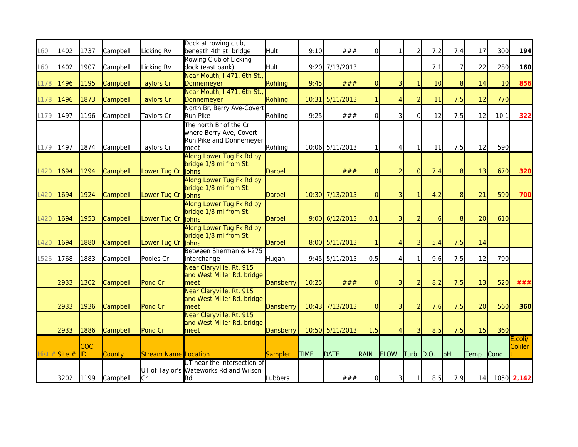| L60        | 1402          | 1737              | Campbell        | Licking Rv                  | Dock at rowing club,<br>beneath 4th st. bridge                                        | Hult          | 9:10        | ###              | $\Omega$     |                | 21             | 7.2  | 7.4            | 17          | 300         | 194                |
|------------|---------------|-------------------|-----------------|-----------------------------|---------------------------------------------------------------------------------------|---------------|-------------|------------------|--------------|----------------|----------------|------|----------------|-------------|-------------|--------------------|
| <b>L60</b> | 1402          | 1907              | Campbell        | Licking Rv                  | Rowing Club of Licking<br>dock (east bank)                                            | Hult          |             | 9:20 7/13/2013   |              |                |                | 7.1  | 7              | 22          | 280         | 160                |
| L178       | 1496          | 1195              | Campbell        | <b>Taylors Cr</b>           | Near Mouth, I-471, 6th St.,<br>Donnemeyer                                             | Rohling       | 9:45        | ###              | $\Omega$     |                |                | 10   | 8 <sup>1</sup> | 14          | 10          | 856                |
| L178       | 1496          | 1873              | Campbell        | <b>Taylors Cr</b>           | Near Mouth, I-471, 6th St.,<br>Donnemeyer                                             | Rohling       |             | 10:31 5/11/2013  |              |                |                | 11   | 7.5            | 12          | 770         |                    |
| L179       | 1497          | 1196              | Campbell        | Taylors Cr                  | North Br, Berry Ave-Covert<br>Run Pike                                                | Rohling       | 9:25        | ###              | $\Omega$     |                | $\Omega$       | 12   | 7.5            | 12          | 10.1        | 322                |
| L179 1497  |               | 1874              | Campbell        | Taylors Cr                  | The north Br of the Cr<br>where Berry Ave, Covert<br>Run Pike and Donnemeyer<br>lmeet | Rohling       |             | 10:06 5/11/2013  | $\mathbf{1}$ | 4              | 1              | 11   | 7.5            | 12          | 590         |                    |
| L420       | 1694          | 1294              | Campbell        | Lower Tug Cr                | Along Lower Tug Fk Rd by<br>bridge 1/8 mi from St.<br>lohns                           | Darpel        |             | ###              | $\Omega$     | $\overline{2}$ | $\overline{0}$ | 7.4  | 8              | 13          | 670         | 320                |
| L420       | 1694          | 1924              | Campbell        | Lower Tug Cr                | Along Lower Tug Fk Rd by<br>bridge 1/8 mi from St.<br>lohns                           | Darpel        |             | 10:30 7/13/2013  | $\Omega$     | зI             | 1              | 4.2  | 8 <sup>1</sup> | 21          | 590         | 700                |
| L420       | 1694          | 1953              | <b>Campbell</b> | Lower Tug Cr                | Along Lower Tug Fk Rd by<br>bridge 1/8 mi from St.<br>lohns                           | <b>Darpel</b> |             | $9:00$ 6/12/2013 | 0.1          | зı             |                | 6    | 8              | 20          | 610         |                    |
| -420       | 1694          | 1880              | <b>Campbell</b> | Lower Tug Cr                | Along Lower Tug Fk Rd by<br>bridge 1/8 mi from St.<br>lohns                           | Darpel        |             | 8:00 5/11/2013   |              |                | 3              | 5.4  | 7.5            | 14          |             |                    |
| L526       | 1768          | 1883              | Campbell        | Pooles Cr                   | Between Sherman & I-275<br>Interchange                                                | Hugan         |             | $9:45$ 5/11/2013 | 0.5          |                | 1              | 9.6  | 7.5            | 12          | 790         |                    |
|            | 2933          | 1302              | Campbell        | Pond Cr                     | Near Claryville, Rt. 915<br>and West Miller Rd. bridge<br>meet                        | Dansberry     | 10:25       | ###              | $\Omega$     | 31             | $\overline{2}$ | 8.2  | 7.5            | 13          | <b>520</b>  | ###                |
|            | 2933          | 1936              | Campbell        | Pond Cr                     | Near Claryville, Rt. 915<br>and West Miller Rd. bridge<br>lmeet                       | Dansberry     |             | 10:43 7/13/2013  | $\Omega$     | 3              | $\overline{2}$ | 7.6  | 7.5            | 20          | 560         | 360                |
|            | 2933          | 1886              | Campbell        | Pond Cr                     | Near Claryville, Rt. 915<br>and West Miller Rd. bridge<br>meet                        | Dansberry     |             | 10:50 5/11/2013  | 1.5          |                | 3              | 8.5  | 7.5            | 15          | 360         |                    |
|            | Hist.# Site # | <b>COC</b><br>ID. | County          | <b>Stream Name Location</b> |                                                                                       | Sampler       | <b>TIME</b> | <b>DATE</b>      | RAIN         | FLOW           | Turb           | D.O. | pH             | <b>Temp</b> | <b>Cond</b> | E.coli/<br>Coliler |
|            | 3202          | 1199              | Campbell        | lCr                         | UT near the intersection of<br>UT of Taylor's Wateworks Rd and Wilson<br><b>Rd</b>    | Lubbers       |             | ###              | $\Omega$     | 31             | 1 <sup>1</sup> | 8.5  | 7.9            | 14          |             | 1050 2,142         |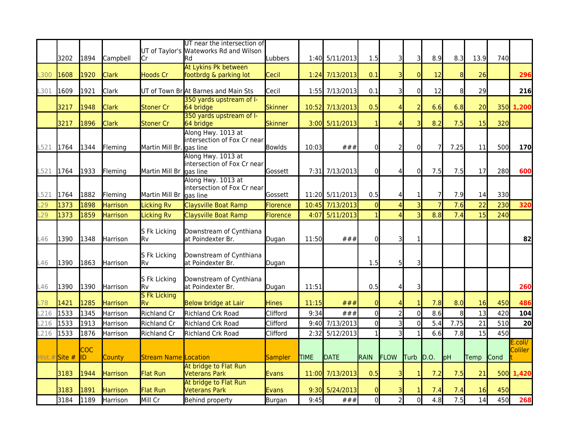|        |               |                  |                 |                             | UT near the intersection of<br>UT of Taylor's Wateworks Rd and Wilson |                |             |                  |                |                |                |                |                  |      |             |                    |
|--------|---------------|------------------|-----------------|-----------------------------|-----------------------------------------------------------------------|----------------|-------------|------------------|----------------|----------------|----------------|----------------|------------------|------|-------------|--------------------|
|        | 3202          | 1894             | Campbell        | Cr                          | lRd                                                                   | Lubbers        |             | 1:40 5/11/2013   | 1.5            | 31             | 3              | 8.9            | 8.3              | 13.9 | 740         |                    |
| .300   | 1608          | 1920             | <b>Clark</b>    | <b>Hoods Cr</b>             | At Lykins Pk between<br>footbrdg & parking lot                        | Cecil          |             | $1:24$ 7/13/2013 | 0.1            |                | $\Omega$       | 12             | 8                | 26   |             | 296                |
| L301   | 1609          | 1921             | Clark           |                             | UT of Town BrAt Barnes and Main Sts                                   | Cecil          |             | 1:55 7/13/2013   | 0.1            | 31             | $\overline{0}$ | 12             | 8                | 29   |             | 216                |
|        | 3217          | 1948             | <b>Clark</b>    | Stoner Cr                   | 350 yards upstream of I-<br>64 bridge                                 | <b>Skinner</b> |             | 10:52 7/13/2013  | 0.5            |                | 2              | 6.6            | 6.8              | 20   | 350         | 1,200              |
|        | 3217          | 1896             | Clark           | Stoner Cr                   | 350 yards upstream of I-<br>64 bridge                                 | <b>Skinner</b> |             | 3:00 5/11/2013   | $\mathbf{1}$   |                | 3              | 8.2            | 7.5              | 15   | 320         |                    |
| L521   | 1764          | 1344             | Flemina         | Martin Mill Br.             | Along Hwy. 1013 at<br>intersection of Fox Cr near<br>laas line        | <b>Bowlds</b>  | 10:03       | ###              | $\Omega$       | 2              | $\overline{0}$ | 7              | 7.25             | 11   | 500         | 170                |
| L521   | 1764          | 1933             | Fleming         | Martin Mill Br gas line     | Along Hwy. 1013 at<br>intersection of Fox Cr near                     | lGossett       |             | 7:31 7/13/2013   | $\Omega$       | 4              | $\overline{0}$ | 7.5            | 7.5              | 17   | 280         | 600                |
| .521   | 1764          | 1882             | Fleming         | Martin Mill Br              | Along Hwy. 1013 at<br>intersection of Fox Cr near<br>gas line         | Gossett        |             | 11:20 5/11/2013  | 0.5            |                |                | $\overline{7}$ | 7.9              | 14   | 330         |                    |
| .29    | 1373          | 1898             | <b>Harrison</b> | <b>Licking Rv</b>           | Claysville Boat Ramp                                                  | Florence       |             | 10:45 7/13/2013  | $\overline{0}$ |                |                | $\overline{7}$ | 7.6              | 22   | 230         | 320                |
| L29    | 1373          | 1859             | <b>Harrison</b> | <b>Licking Rv</b>           | Claysville Boat Ramp                                                  | Florence       | 4:07        | 5/11/2013        |                |                |                | 8.8            | $\overline{7.4}$ | 15   | 240         |                    |
| L46    | 1390          | 1348             | Harrison        | S Fk Licking<br>lRv         | Downstream of Cynthiana<br>at Poindexter Br.                          | Dugan          | 11:50       | ###              | $\Omega$       |                |                |                |                  |      |             | 82                 |
| L46    | 1390          | 1863             | <b>Harrison</b> | S Fk Licking<br>lRv         | Downstream of Cynthiana<br>at Poindexter Br.                          | Dugan          |             |                  | 1.5            | 5 <sup>1</sup> | 31             |                |                  |      |             |                    |
| L46    | 1390          | 1390             | Harrison        | S Fk Licking<br>Rv          | Downstream of Cynthiana<br>at Poindexter Br.                          | Dugan          | 11:51       |                  | 0.5            | $\Delta$       | 3              |                |                  |      |             | 260                |
| -78    | 1421          | 1285             | Harrison        | <b>S Fk Licking</b><br>Rv   | Below bridge at Lair                                                  | Hines          | 11:15       | ###              | $\Omega$       |                |                | 7.8            | 8.0              | 16   | 450         | 486                |
| .216   | 1533          | 1345             | Harrison        | <b>Richland Cr</b>          | Richland Crk Road                                                     | Clifford       | 9:34        | ###              | $\overline{0}$ |                | $\overline{0}$ | 8.6            | 8                | 13   | 420         | 104                |
| .216   | 1533          | 1913             | Harrison        | <b>Richland Cr</b>          | Richland Crk Road                                                     | Clifford       | 9:40        | 7/13/2013        | $\Omega$       |                | $\Omega$       | 5.4            | 7.75             | 21   | 510         | 20                 |
| L216   | 1533          | 1876             | Harrison        | <b>Richland Cr</b>          | Richland Crk Road                                                     | Clifford       | 2:32        | 5/12/2013        |                |                |                | 6.6            | 7.8              | 15   | 450         |                    |
| Hist.# | <b>Site #</b> | <b>COC</b><br>ID | County          | <b>Stream Name Location</b> |                                                                       | Sampler        | <b>TIME</b> | <b>IDATE</b>     | RAIN           | FLOW           | <b>Turb</b>    | D.0            | pH               | Temp | <b>Cond</b> | E.coli/<br>Coliler |
|        | 3183          | 1944             | <b>Harrison</b> | <b>Flat Run</b>             | At bridge to Flat Run<br><b>Veterans Park</b>                         | Evans          |             | 11:00 7/13/2013  | 0.5            | 31             | $\mathbf{1}$   | 7.2            | 7.5              | 21   | 500         | 1,420              |
|        | 3183          | 1891             | Harrison        | <b>Flat Run</b>             | At bridge to Flat Run<br><b>Veterans Park</b>                         | Evans          |             | 9:30 5/24/2013   | $\Omega$       |                |                | 7.4            | 7.4              | 16   | 450         |                    |
|        | 3184          | 1189             | Harrison        | Mill Cr                     | Behind property                                                       | Burgan         | 9:45        | ###              | $\overline{0}$ | $\overline{2}$ | $\overline{0}$ | 4.8            | 7.5              | 14   | 450         | 268                |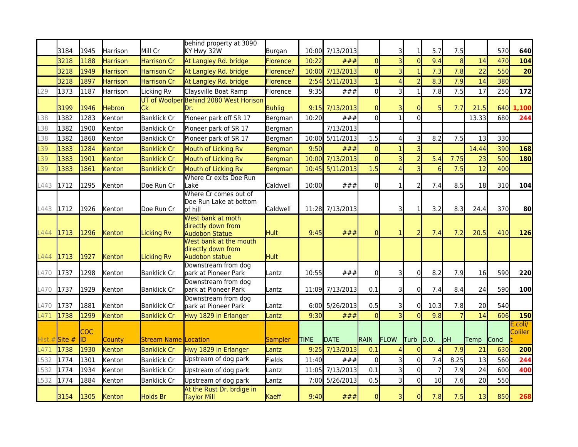|                  | 3184                 | 1945             | Harrison        | Mill Cr                     | behind property at 3090<br>KY Hwy 32W                          | Burgan        |             | 10:00 7/13/2013  |                | 3'                      | $\mathbf{1}$            | 5.7            | 7.5  |       | 570           | 640               |
|------------------|----------------------|------------------|-----------------|-----------------------------|----------------------------------------------------------------|---------------|-------------|------------------|----------------|-------------------------|-------------------------|----------------|------|-------|---------------|-------------------|
|                  | 3218                 | 1188             | <b>Harrison</b> | <b>Harrison Cr</b>          | At Langley Rd. bridge                                          | Florence      | 10:22       | ###              | $\overline{0}$ | $\overline{\mathsf{c}}$ | $\overline{0}$          | 9.4            | 8    | 14    | 470           | 104               |
|                  | 3218                 | 1949             | <b>Harrison</b> | <b>Harrison Cr</b>          | At Langley Rd. bridge                                          | Florence?     |             | 10:00 7/13/2013  | $\overline{0}$ |                         |                         | 7.3            | 7.8  | 22    | 550           | 20                |
|                  | 3218                 | 1897             | <b>Harrison</b> | <b>Harrison Cr</b>          | At Langley Rd. bridge                                          | Florence      |             | $2:54$ 5/11/2013 |                |                         |                         | 8.3            | 7.9  | 14    | 380           |                   |
| L <sub>29</sub>  | 1373                 | 1187             | Harrison        | Licking Rv                  | Claysville Boat Ramp                                           | Florence      | 9:35        | ###              | $\overline{0}$ | 3                       | $\mathbf{1}$            | 7.8            | 7.5  | 17    | 250           | 172               |
|                  | 3199                 | 1946             | Hebron          | lCk                         | UT of Woolper Behind 2080 West Horison<br>Dr.                  | <b>Buhlig</b> |             | $9:15$ 7/13/2013 | $\overline{0}$ |                         | <sup>0</sup>            | 5              | 7.7  | 21.5  | 640           | 1,100             |
| .38              | 1382                 | 1283             | Kenton          | <b>Banklick Cr</b>          | Pioneer park off SR 17                                         | Bergman       | 10:20       | ###              | $\overline{0}$ |                         | 0                       |                |      | 13.33 | 680           | 244               |
| L38              | 1382                 | 1900             | Kenton          | <b>Banklick Cr</b>          | Pioneer park of SR 17                                          | Bergman       |             | 7/13/2013        |                |                         |                         |                |      |       |               |                   |
| .38              | 1382                 | 1860             | Kenton          | <b>Banklick Cr</b>          | Pioneer park of SR 17                                          | Bergman       |             | 10:00 5/11/2013  | 1.5            | Δ                       | 3                       | 8.2            | 7.5  | 13    | 330           |                   |
| L39              | 1383                 | 1284             | Kenton          | <b>Banklick Cr</b>          | <b>Mouth of Licking Rv</b>                                     | Bergman       | 9:50        | ###              | $\overline{0}$ |                         | $\overline{\mathsf{c}}$ |                |      | 14.44 | 390           | 168               |
| L39              | 1383                 | 1901             | Kenton          | <b>Banklick Cr</b>          | Mouth of Licking Rv                                            | Bergman       | 10:00       | 7/13/2013        | $\overline{0}$ |                         | $\overline{2}$          | 5.4            | 7.75 | 23    | 500           | 180               |
| L39              | 1383                 | 1861             | Kenton          | <b>Banklick Cr</b>          | Mouth of Licking Rv                                            | Bergman       |             | 10:45 5/11/2013  | 1.5            |                         | 3                       | 6              | 7.5  | 12    | 400           |                   |
|                  |                      |                  |                 |                             | Where Cr exits Doe Run                                         |               |             |                  |                |                         |                         |                |      |       |               |                   |
| L443             | 1712                 | 1295             | Kenton          | Doe Run Cr                  | Lake                                                           | Caldwell      | 10:00       | ###              | $\overline{0}$ |                         | $\overline{2}$          | 7.4            | 8.5  | 18    | 310           | 104               |
|                  |                      |                  |                 |                             | Where Cr comes out of<br>Doe Run Lake at bottom                |               |             |                  |                |                         |                         |                |      |       |               |                   |
| L443 1712        |                      | 1926             | Kenton          | Doe Run Cr                  | lof hill<br>West bank at moth                                  | Caldwell      |             | 11:28 7/13/2013  |                | 31                      | $\mathbf{1}$            | 3.2            | 8.3  | 24.4  | 370           | 80                |
| L444 1713        |                      | 1296             | Kenton          | Licking Rv                  | directly down from<br><b>Audobon Statue</b>                    | <b>Hult</b>   | 9:45        | ###              | $\overline{0}$ |                         | $\overline{2}$          | 7.4            | 7.2  | 20.5  | 410           | 126               |
| L444             | 1713                 | 1927             | Kenton          | <b>Licking Rv</b>           | West bank at the mouth<br>directly down from<br>Audobon statue | <b>Hult</b>   |             |                  |                |                         |                         |                |      |       |               |                   |
| L470             | 1737                 | 1298             | Kenton          | <b>Banklick Cr</b>          | Downstream from dog<br>park at Pioneer Park                    | Lantz         | 10:55       | ###              | $\overline{0}$ | 3                       | 0                       | 8.2            | 7.9  | 16    | 590           | 220               |
| L470             | 1737                 | 1929             | Kenton          | <b>Banklick Cr</b>          | Downstream from dog<br>park at Pioneer Park                    | Lantz         |             | 11:09 7/13/2013  | 0.1            | 3                       | $\Omega$                | 7.4            | 8.4  | 24    | 590           | 100               |
| L470             | 1737                 | 1881             | Kenton          | <b>Banklick Cr</b>          | Downstream from dog<br>park at Pioneer Park                    | Lantz         |             | 6:00 5/26/2013   | 0.5            |                         | 0                       | 10.3           | 7.8  | 20    | 540           |                   |
| L471             | 1738                 | 1299             | Kenton          | <b>Banklick Cr</b>          | Hwy 1829 in Erlanger                                           | Lantz         | 9:30        | ###              | $\Omega$       |                         | $\Omega$                | 9.8            |      | 14    | 606           | 150               |
| Hist.#           | $\frac{1}{1}$ Site # | <b>COC</b><br>ID | County          | <b>Stream Name Location</b> |                                                                | Sampler       | <b>TIME</b> | DATE             | <b>RAIN</b>    | FLOW                    | Turb                    | D.0            | pH   | Temp  | <b>I</b> Cond | .coli/<br>Coliler |
| -471             | 1738                 | 1930             | Kenton          | <b>Banklick Cr</b>          | Hwy 1829 in Erlanger                                           | Lantz         | 9:25        | 7/13/2013        | 0.1            |                         | $\Omega$                |                | 7.9  | 21    | 630           | 200               |
| L <sub>532</sub> | 1774                 | 1301             | Kenton          | <b>Banklick Cr</b>          | Upstream of dog park                                           | Fields        | 11:40       | ###              | $\mathbf{0}$   |                         | $\overline{0}$          | 7.4            | 8.25 | 13    | 560           | 244               |
| .532             | 1774                 | 1934             | Kenton          | <b>Banklick Cr</b>          | Upstream of dog park                                           | _antz         | 11:05       | 7/13/2013        | 0.1            | $\overline{3}$          | $\overline{0}$          | $\overline{7}$ | 7.9  | 24    | 600           | 400               |
| L <sub>532</sub> | 1774                 | 1884             | Kenton          | <b>Banklick Cr</b>          | Upstream of dog park                                           | Lantz         |             | 7:00 5/26/2013   | 0.5            | 3                       | $\overline{0}$          | 10             | 7.6  | 20    | 550           |                   |
|                  | 3154                 | 1305             | Kenton          | Holds Br                    | At the Rust Dr. brdige in<br><b>Taylor Mill</b>                | Kaeff         | 9:40        | ###              | $\Omega$       | 3                       | $\overline{0}$          | 7.8            | 7.5  | 13    | 850           | 268               |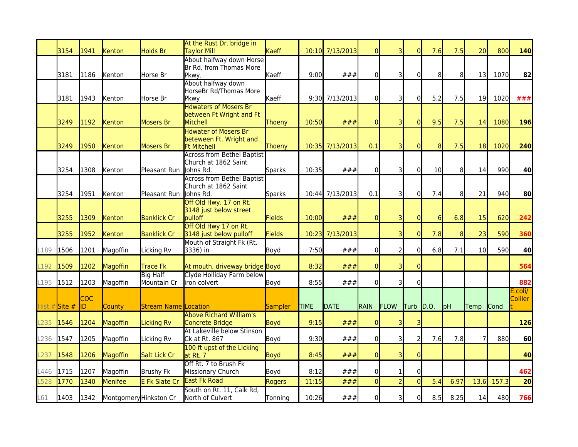|      | 3154         | 1941             | Kenton                 | Holds Br                       | At the Rust Dr. bridge in<br><b>Taylor Mill</b>                              | Kaeff       |             | 10:10 7/13/2013 | $\Omega$       |                | $\Omega$       | 7.6             | 7.5  | 20              | 800   | 140                |
|------|--------------|------------------|------------------------|--------------------------------|------------------------------------------------------------------------------|-------------|-------------|-----------------|----------------|----------------|----------------|-----------------|------|-----------------|-------|--------------------|
|      | 3181         | 1186             | Kenton                 | Horse Br                       | About halfway down Horse<br>Br Rd. from Thomas More<br>Pkwy.                 | Kaeff       | 9:00        | ###             | $\overline{0}$ | 3              | 0              | 8               | 81   | 13 <sup>l</sup> | 1070  | 82                 |
|      | 3181         | 1943             | Kenton                 | Horse Br                       | About halfway down<br>HorseBr Rd/Thomas More<br>Pkwy                         | Kaeff       |             | 9:30 7/13/2013  | $\overline{0}$ | 3              | $\mathbf{0}$   | 5.2             | 7.5  | 19I             | 1020  | ###                |
|      | 3249         | 1192             | Kenton                 | Mosers Br                      | <b>Hdwaters of Mosers Br</b><br>between Ft Wright and Ft<br>Mitchell         | Thoeny      | 10:50       | ###             | $\overline{0}$ | 31             | $\overline{0}$ | 9.5             | 7.5  | 14              | 1080  | <b>196</b>         |
|      | 3249         | 1950             | Kenton                 | <b>Mosers Br</b>               | <b>Hdwater of Mosers Br</b><br>beteween Ft. Wright and<br><b>Ft Mitchell</b> | Thoeny      |             | 10:35 7/13/2013 | 0.1            | 3              | $\Omega$       | 8               | 7.5  | 18              | 1020  | 240                |
|      | 3254         | 1308             | Kenton                 | Pleasant Run                   | <b>Across from Bethel Baptist</b><br>Church at 1862 Saint<br>Johns Rd.       | Sparks      | 10:35       | ###             | $\overline{0}$ | 3              | 0              | 10 <sup>1</sup> | 8    | 14              | 990   | 40                 |
|      | 3254         | 1951             | Kenton                 | Pleasant Run                   | <b>Across from Bethel Baptist</b><br>lChurch at 1862 Saint<br>Johns Rd.      | Sparks      |             | 10:44 7/13/2013 | 0.1            | зI             | $\mathbf{0}$   | 7.4             | 81   | 21              | 940   | 80                 |
|      | 3255         | 1309             | Kenton                 | <b>Banklick Cr</b>             | Off Old Hwy. 17 on Rt.<br>3148 just below street<br><b>pulloff</b>           | Fields      | 10:00       | ###             | $\overline{0}$ | 3              | $\Omega$       | $6\overline{6}$ | 6.8  | 15              | 620   | 242                |
|      | 3255         | 1952             | Kenton                 | <b>Banklick Cr</b>             | Off Old Hwy 17 on Rt.<br>3148 just below pulloff                             | Fields      |             | 10:23 7/13/2013 |                | 3              | $\Omega$       | 7.8             | 8    | 23              | 590   | 360                |
| L189 | 1506         | 1201             | Magoffin               | Licking Rv                     | Mouth of Straight Fk (Rt.<br>3336) in                                        | Boyd        | 7:50        | ###             | $\mathbf{0}$   | $\overline{2}$ | $\Omega$       | 6.8             | 7.1  | 10 <sup>1</sup> | 590   | 40                 |
| L192 | 1509         | 1202             | Magoffin               | Trace Fk                       | At mouth, driveway bridge Boyd                                               |             | 8:32        | ###             | $\Omega$       | 3              | $\Omega$       |                 |      |                 |       | 564                |
| L195 | 1512         | 1203             | Magoffin               | <b>Big Half</b><br>Mountain Cr | Clyde Holliday Farm below<br>iron colvert                                    | Boyd        | 8:55        | ###             | $\overline{0}$ | 3              | 0              |                 |      |                 |       | 882                |
|      | Hist.#Site # | <b>COC</b><br>ID | County                 | <b>Stream Name Location</b>    |                                                                              | Sampler     | <b>TIME</b> | <b>DATE</b>     | <b>RAIN</b>    | FLOW           | Turb           | D.0.            | pH   | Temp            | Cond  | E.coli/<br>Coliler |
| L235 | 1546         | 1204             | Magoffin               | <b>Licking Rv</b>              | <b>Above Richard William's</b><br>Concrete Bridge                            | Boyd        | 9:15        | ###             | $\overline{0}$ | З              | 3              |                 |      |                 |       | 126                |
| L236 | 1547         | 1205             | Magoffin               | Licking Rv                     | At Lakeville below Stinson<br>Ck at Rt. 867                                  | Boyd        | 9:30        | ###             | $\overline{0}$ | 31             | $\overline{2}$ | 7.6             | 7.8  |                 | 880   | 60                 |
| L237 | 1548         | 1206             | Magoffin               | Salt Lick Cr                   | 100 ft upst of the Licking<br>at Rt. 7                                       | <b>Boyd</b> | 8:45        | ###             | $\overline{0}$ |                |                |                 |      |                 |       | 40                 |
| L446 | 1715         | 1207             | Magoffin               | Brushy Fk                      | Off Rt. 7 to Brush Fk<br>Missionary Church                                   | Boyd        | 8:12        | ###             | $\overline{0}$ | 1              | 0              |                 |      |                 |       | 462                |
| .528 | 1770         | 1340             | Menifee                | <b>E Fk Slate Cr</b>           | <b>East Fk Road</b>                                                          | Rogers      | 11:15       | ###             | $\overline{0}$ | $\overline{2}$ | $\overline{0}$ | 5.4             | 6.97 | 13.6            | 157.3 | 20                 |
| L61  | 1403         | 1342             | Montgomery Hinkston Cr |                                | South on Rt. 11, Calk Rd,<br>North of Culvert                                | Tonning     | 10:26       | ###             | $\overline{0}$ | 3              | $\Omega$       | 8.5             | 8.25 | 14              | 480   | 766                |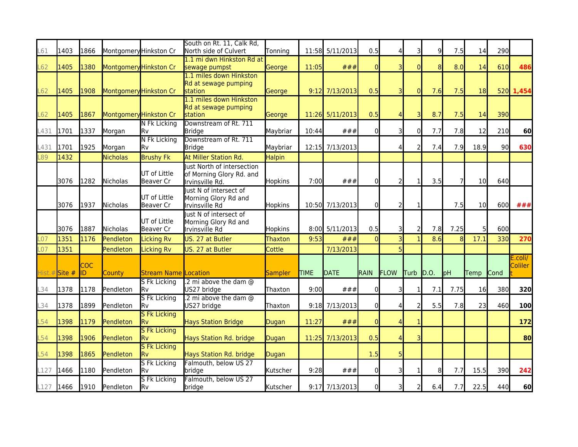| L61             | 1403   | 1866             | Montgomery Hinkston Cr |                                    | South on Rt. 11, Calk Rd,<br>North side of Culvert                        | Tonning        |             | 11:58 5/11/2013  | 0.5          |                |                | $\overline{9}$ | 7.5           | 14              | 290         |                    |
|-----------------|--------|------------------|------------------------|------------------------------------|---------------------------------------------------------------------------|----------------|-------------|------------------|--------------|----------------|----------------|----------------|---------------|-----------------|-------------|--------------------|
| L62             | 1405   | 1380             |                        | Montgomery Hinkston Cr             | 1.1 mi dwn Hinkston Rd at<br>sewage pumpst                                | George         | 11:05       | ###              | $\Omega$     | 3              | $\Omega$       | 8              | 8.0           | 14              | 610         | 486                |
| L62             | 1405   | 1908             | Montgomery Hinkston Cr |                                    | 1.1 miles down Hinkston<br>Rd at sewage pumping<br><b>station</b>         | George         |             | $9:12$ 7/13/2013 | 0.5          | зI             | $\overline{0}$ | 7.6            | 7.5           | 18              |             | 520 1,454          |
| L62             | 1405   | 1867             | Montgomery Hinkston Cr |                                    | 1.1 miles down Hinkston<br>Rd at sewage pumping<br>station                | George         |             | 11:26 5/11/2013  | 0.5          |                | 3              | 8.7            | 7.5           | 14              | 390         |                    |
| L431            | 1701   | 1337             | Morgan                 | N Fk Licking<br>lRv                | Downstream of Rt. 711<br><b>Bridge</b>                                    | Maybriar       | 10:44       | ###              | $\mathbf{0}$ |                | $\Omega$       | 7.7            | 7.8           | 12 <sup>1</sup> | 210         | 60                 |
| L431            | 1701   | 1925             | Morgan                 | N Fk Licking<br>lRv                | Downstream of Rt. 711<br><b>Bridge</b>                                    | Maybriar       |             | 12:15 7/13/2013  |              |                |                | 7.4            | 7.9           | 18.9            | 90          | 630                |
| L89             | 1432   |                  | <b>Nicholas</b>        | <b>Brushy Fk</b>                   | At Miller Station Rd.                                                     | Halpin         |             |                  |              |                |                |                |               |                 |             |                    |
|                 | 3076   | 1282             | Nicholas               | UT of Little<br>Beaver Cr          | lust North of intersection<br>of Morning Glory Rd. and<br>Irvinsville Rd. | <b>Hopkins</b> | 7:00        | ###              | $\Omega$     | $\overline{2}$ | 1              | 3.5            |               | 10 <sup>1</sup> | 640         |                    |
|                 | 3076   | 1937             | Nicholas               | UT of Little<br>Beaver Cr          | lust N of intersect of<br>Morning Glory Rd and<br>Irvinsville Rd          | Hopkins        |             | 10:50 7/13/2013  | $\Omega$     | $\overline{2}$ | 1              |                | 7.5           | 10 <sup>1</sup> | 600         | ###                |
|                 | 3076   | 1887             | Nicholas               | UT of Little<br>Beaver Cr          | lust N of intersect of<br>Morning Glory Rd and<br>Irvinsville Rd          | Hopkins        |             | 8:00 5/11/2013   | 0.5          | 31             | $\overline{2}$ | 7.8            | 7.25          |                 | 600         |                    |
| .07             | 1351   | 1176             | Pendleton              | <b>Licking Rv</b>                  | US. 27 at Butler                                                          | Thaxton        | 9:53        | ###              | $\Omega$     |                |                | 8.6            | $\mathbf{8}$  | 17.1            | 330         | 270                |
| L <sub>07</sub> | 1351   |                  | Pendleton              | <b>Licking Rv</b>                  | US. 27 at Butler                                                          | Cottle         |             | 7/13/2013        |              |                |                |                |               |                 |             |                    |
| Hist.#          | Site # | <b>COC</b><br>ID | County                 | <b>Stream Name Location</b>        |                                                                           | Sampler        | <b>TIME</b> | <b>DATE</b>      | RAIN         | FLOW           | Turb D.O.      |                | $\mathsf{hd}$ | <b>Temp</b>     | <b>Cond</b> | E.coli/<br>Coliler |
| L34             | 1378   | 1178             | Pendleton              | <b>S Fk Licking</b><br>lRv.        | .2 mi above the dam @<br>US27 bridge                                      | Thaxton        | 9:00        | ###              | $\mathbf{0}$ | 31             | 1              | 7.1            | 7.75          | 16              | 380         | 320                |
| _34             | 1378   | 1899             | Pendleton              | S Fk Licking<br>lRv                | .2 mi above the dam @<br>US27 bridge                                      | Thaxton        |             | $9:18$ 7/13/2013 | $\mathbf{0}$ |                | $\overline{2}$ | 5.5            | 7.8           | 23              | 460         | 100                |
| $-54$           | 1398   | 1179             | Pendleton              | <b>S Fk Licking</b><br>lRv         | <b>Hays Station Bridge</b>                                                | Dugan          | 11:27       | ###              | $\Omega$     |                |                |                |               |                 |             | 172                |
| L <sub>54</sub> | 1398   | 1906             | Pendleton              | <b>S Fk Licking</b><br><b>I</b> Rv | Hays Station Rd. bridge                                                   | Dugan          |             | 11:25 7/13/2013  | 0.5          |                | 3              |                |               |                 |             | 80                 |
| $-54$           | 1398   | 1865             | Pendleton              | <b>S Fk Licking</b><br>lRv         | Hays Station Rd. bridge                                                   | Dugan          |             |                  | 1.5          |                |                |                |               |                 |             |                    |
| L127            | 1466   | 1180             | Pendleton              | <b>S Fk Licking</b><br>lRv.        | Falmouth, below US 27<br>bridge                                           | Kutscher       | 9:28        | ###              | $\Omega$     | 31             | 1              | 8              | 7.7           | 15.5            | 390         | 242                |
| L127            | 1466   | 1910             | Pendleton              | <b>S Fk Licking</b><br>Rv          | Falmouth, below US 27<br>bridge                                           | Kutscher       |             | 9:17 7/13/2013   | $\Omega$     |                |                | 6.4            | 7.7           | 22.5            | 440         | 60                 |